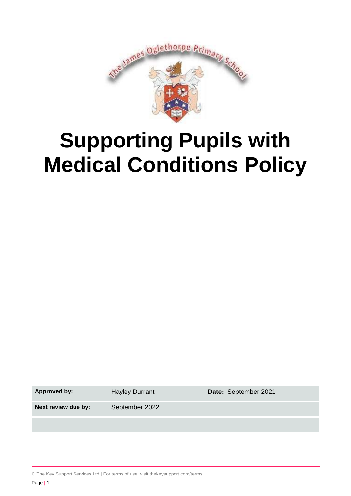

# **Supporting Pupils with Medical Conditions Policy**

Approved by: Hayley Durrant **Date:** September 2021

**Next review due by:** September 2022

© The Key Support Services Ltd | For terms of use, visit [thekeysupport.com/terms](https://thekeysupport.com/terms-of-use)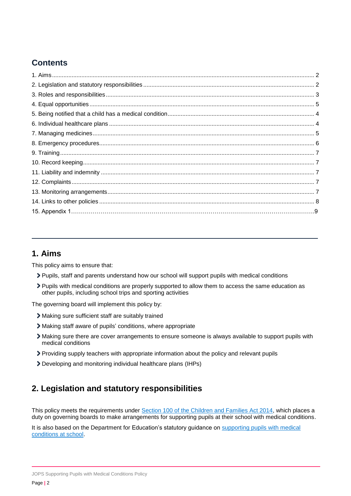# **Contents**

## **1. Aims**

This policy aims to ensure that:

- Pupils, staff and parents understand how our school will support pupils with medical conditions
- Pupils with medical conditions are properly supported to allow them to access the same education as other pupils, including school trips and sporting activities

The governing board will implement this policy by:

- Making sure sufficient staff are suitably trained
- Making staff aware of pupils' conditions, where appropriate
- Making sure there are cover arrangements to ensure someone is always available to support pupils with medical conditions
- Providing supply teachers with appropriate information about the policy and relevant pupils
- Developing and monitoring individual healthcare plans (IHPs)

# **2. Legislation and statutory responsibilities**

This policy meets the requirements under [Section 100 of the Children and Families Act 2014,](http://www.legislation.gov.uk/ukpga/2014/6/part/5/crossheading/pupils-with-medical-conditions) which places a duty on governing boards to make arrangements for supporting pupils at their school with medical conditions.

It is also based on the Department for Education's statutory guidance on supporting pupils with medical [conditions at school.](https://www.gov.uk/government/publications/supporting-pupils-at-school-with-medical-conditions--3)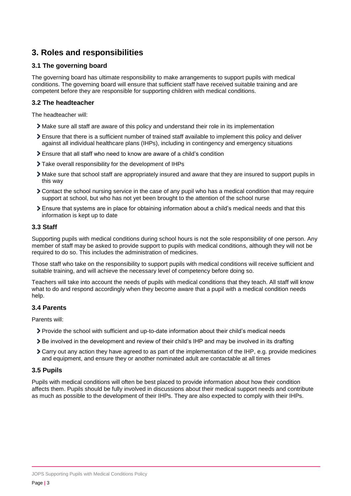# **3. Roles and responsibilities**

### **3.1 The governing board**

The governing board has ultimate responsibility to make arrangements to support pupils with medical conditions. The governing board will ensure that sufficient staff have received suitable training and are competent before they are responsible for supporting children with medical conditions.

#### **3.2 The headteacher**

The headteacher will:

- Make sure all staff are aware of this policy and understand their role in its implementation
- Ensure that there is a sufficient number of trained staff available to implement this policy and deliver against all individual healthcare plans (IHPs), including in contingency and emergency situations
- Ensure that all staff who need to know are aware of a child's condition
- Take overall responsibility for the development of IHPs
- Make sure that school staff are appropriately insured and aware that they are insured to support pupils in this way
- Contact the school nursing service in the case of any pupil who has a medical condition that may require support at school, but who has not yet been brought to the attention of the school nurse
- Ensure that systems are in place for obtaining information about a child's medical needs and that this information is kept up to date

#### **3.3 Staff**

Supporting pupils with medical conditions during school hours is not the sole responsibility of one person. Any member of staff may be asked to provide support to pupils with medical conditions, although they will not be required to do so. This includes the administration of medicines.

Those staff who take on the responsibility to support pupils with medical conditions will receive sufficient and suitable training, and will achieve the necessary level of competency before doing so.

Teachers will take into account the needs of pupils with medical conditions that they teach. All staff will know what to do and respond accordingly when they become aware that a pupil with a medical condition needs help.

#### **3.4 Parents**

Parents will:

- Provide the school with sufficient and up-to-date information about their child's medical needs
- Be involved in the development and review of their child's IHP and may be involved in its drafting
- Carry out any action they have agreed to as part of the implementation of the IHP, e.g. provide medicines and equipment, and ensure they or another nominated adult are contactable at all times

#### **3.5 Pupils**

Pupils with medical conditions will often be best placed to provide information about how their condition affects them. Pupils should be fully involved in discussions about their medical support needs and contribute as much as possible to the development of their IHPs. They are also expected to comply with their IHPs.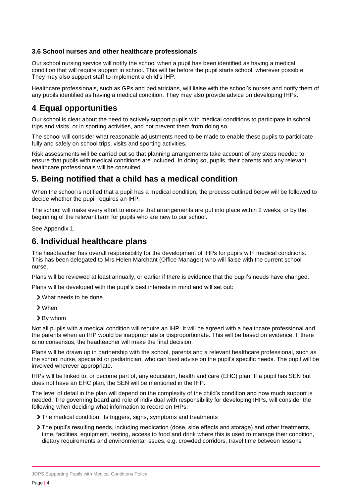### **3.6 School nurses and other healthcare professionals**

Our school nursing service will notify the school when a pupil has been identified as having a medical condition that will require support in school. This will be before the pupil starts school, wherever possible. They may also support staff to implement a child's IHP.

Healthcare professionals, such as GPs and pediatricians, will liaise with the school's nurses and notify them of any pupils identified as having a medical condition. They may also provide advice on developing IHPs.

## **4**. **Equal opportunities**

Our school is clear about the need to actively support pupils with medical conditions to participate in school trips and visits, or in sporting activities, and not prevent them from doing so.

The school will consider what reasonable adjustments need to be made to enable these pupils to participate fully and safely on school trips, visits and sporting activities.

Risk assessments will be carried out so that planning arrangements take account of any steps needed to ensure that pupils with medical conditions are included. In doing so, pupils, their parents and any relevant healthcare professionals will be consulted.

## **5. Being notified that a child has a medical condition**

When the school is notified that a pupil has a medical condition, the process outlined below will be followed to decide whether the pupil requires an IHP.

The school will make every effort to ensure that arrangements are put into place within 2 weeks, or by the beginning of the relevant term for pupils who are new to our school.

See Appendix 1.

## **6. Individual healthcare plans**

The headteacher has overall responsibility for the development of IHPs for pupils with medical conditions. This has been delegated to Mrs Helen Marchant (Office Manager) who will liaise with the current school nurse.

Plans will be reviewed at least annually, or earlier if there is evidence that the pupil's needs have changed.

Plans will be developed with the pupil's best interests in mind and will set out:

- **>** What needs to be done
- When
- By whom

Not all pupils with a medical condition will require an IHP. It will be agreed with a healthcare professional and the parents when an IHP would be inappropriate or disproportionate. This will be based on evidence. If there is no consensus, the headteacher will make the final decision.

Plans will be drawn up in partnership with the school, parents and a relevant healthcare professional, such as the school nurse, specialist or pediatrician, who can best advise on the pupil's specific needs. The pupil will be involved wherever appropriate.

IHPs will be linked to, or become part of, any education, health and care (EHC) plan. If a pupil has SEN but does not have an EHC plan, the SEN will be mentioned in the IHP.

The level of detail in the plan will depend on the complexity of the child's condition and how much support is needed. The governing board and role of individual with responsibility for developing IHPs, will consider the following when deciding what information to record on IHPs:

- The medical condition, its triggers, signs, symptoms and treatments
- The pupil's resulting needs, including medication (dose, side effects and storage) and other treatments, time, facilities, equipment, testing, access to food and drink where this is used to manage their condition, dietary requirements and environmental issues, e.g. crowded corridors, travel time between lessons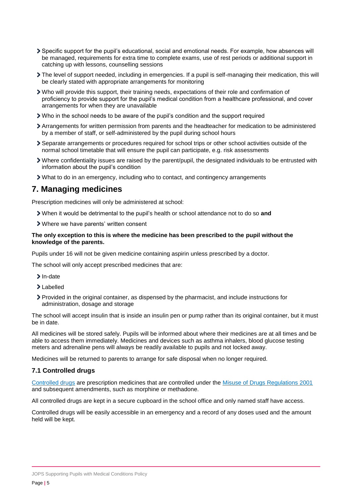- Specific support for the pupil's educational, social and emotional needs. For example, how absences will be managed, requirements for extra time to complete exams, use of rest periods or additional support in catching up with lessons, counselling sessions
- The level of support needed, including in emergencies. If a pupil is self-managing their medication, this will be clearly stated with appropriate arrangements for monitoring
- Who will provide this support, their training needs, expectations of their role and confirmation of proficiency to provide support for the pupil's medical condition from a healthcare professional, and cover arrangements for when they are unavailable
- Who in the school needs to be aware of the pupil's condition and the support required
- Arrangements for written permission from parents and the headteacher for medication to be administered by a member of staff, or self-administered by the pupil during school hours
- Separate arrangements or procedures required for school trips or other school activities outside of the normal school timetable that will ensure the pupil can participate, e.g. risk assessments
- Where confidentiality issues are raised by the parent/pupil, the designated individuals to be entrusted with information about the pupil's condition
- What to do in an emergency, including who to contact, and contingency arrangements

## **7. Managing medicines**

Prescription medicines will only be administered at school:

- When it would be detrimental to the pupil's health or school attendance not to do so **and**
- Where we have parents' written consent

#### **The only exception to this is where the medicine has been prescribed to the pupil without the knowledge of the parents.**

Pupils under 16 will not be given medicine containing aspirin unless prescribed by a doctor.

The school will only accept prescribed medicines that are:

- > In-date
- Labelled
- Provided in the original container, as dispensed by the pharmacist, and include instructions for administration, dosage and storage

The school will accept insulin that is inside an insulin pen or pump rather than its original container, but it must be in date.

All medicines will be stored safely. Pupils will be informed about where their medicines are at all times and be able to access them immediately. Medicines and devices such as asthma inhalers, blood glucose testing meters and adrenaline pens will always be readily available to pupils and not locked away.

Medicines will be returned to parents to arrange for safe disposal when no longer required.

#### **7.1 Controlled drugs**

[Controlled drugs](http://www.nhs.uk/chq/Pages/1391.aspx?CategoryID=73) are prescription medicines that are controlled under the [Misuse of Drugs Regulations 2001](http://www.legislation.gov.uk/uksi/2001/3998/schedule/1/made) and subsequent amendments, such as morphine or methadone.

All controlled drugs are kept in a secure cupboard in the school office and only named staff have access.

Controlled drugs will be easily accessible in an emergency and a record of any doses used and the amount held will be kept.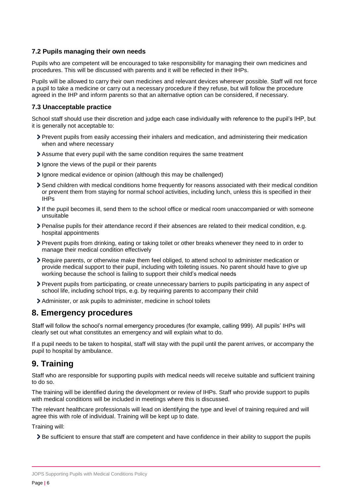#### **7.2 Pupils managing their own needs**

Pupils who are competent will be encouraged to take responsibility for managing their own medicines and procedures. This will be discussed with parents and it will be reflected in their IHPs.

Pupils will be allowed to carry their own medicines and relevant devices wherever possible. Staff will not force a pupil to take a medicine or carry out a necessary procedure if they refuse, but will follow the procedure agreed in the IHP and inform parents so that an alternative option can be considered, if necessary.

#### **7.3 Unacceptable practice**

School staff should use their discretion and judge each case individually with reference to the pupil's IHP, but it is generally not acceptable to:

- Prevent pupils from easily accessing their inhalers and medication, and administering their medication when and where necessary
- Assume that every pupil with the same condition requires the same treatment
- Ignore the views of the pupil or their parents
- Ignore medical evidence or opinion (although this may be challenged)
- Send children with medical conditions home frequently for reasons associated with their medical condition or prevent them from staying for normal school activities, including lunch, unless this is specified in their IHPs
- If the pupil becomes ill, send them to the school office or medical room unaccompanied or with someone unsuitable
- Penalise pupils for their attendance record if their absences are related to their medical condition, e.g. hospital appointments
- Prevent pupils from drinking, eating or taking toilet or other breaks whenever they need to in order to manage their medical condition effectively
- Require parents, or otherwise make them feel obliged, to attend school to administer medication or provide medical support to their pupil, including with toileting issues. No parent should have to give up working because the school is failing to support their child's medical needs
- Prevent pupils from participating, or create unnecessary barriers to pupils participating in any aspect of school life, including school trips, e.g. by requiring parents to accompany their child
- Administer, or ask pupils to administer, medicine in school toilets

## **8. Emergency procedures**

Staff will follow the school's normal emergency procedures (for example, calling 999). All pupils' IHPs will clearly set out what constitutes an emergency and will explain what to do.

If a pupil needs to be taken to hospital, staff will stay with the pupil until the parent arrives, or accompany the pupil to hospital by ambulance.

## **9. Training**

Staff who are responsible for supporting pupils with medical needs will receive suitable and sufficient training to do so.

The training will be identified during the development or review of IHPs. Staff who provide support to pupils with medical conditions will be included in meetings where this is discussed.

The relevant healthcare professionals will lead on identifying the type and level of training required and will agree this with role of individual. Training will be kept up to date.

Training will:

Be sufficient to ensure that staff are competent and have confidence in their ability to support the pupils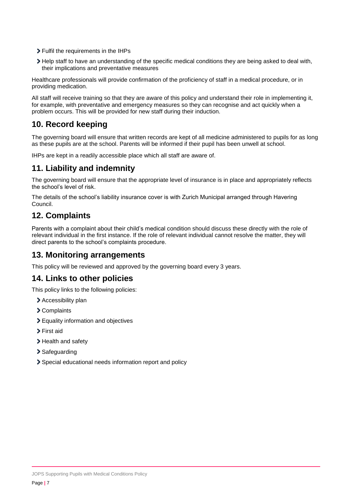- Fulfil the requirements in the IHPs
- Help staff to have an understanding of the specific medical conditions they are being asked to deal with, their implications and preventative measures

Healthcare professionals will provide confirmation of the proficiency of staff in a medical procedure, or in providing medication.

All staff will receive training so that they are aware of this policy and understand their role in implementing it, for example, with preventative and emergency measures so they can recognise and act quickly when a problem occurs. This will be provided for new staff during their induction.

# **10. Record keeping**

The governing board will ensure that written records are kept of all medicine administered to pupils for as long as these pupils are at the school. Parents will be informed if their pupil has been unwell at school.

IHPs are kept in a readily accessible place which all staff are aware of.

# **11. Liability and indemnity**

The governing board will ensure that the appropriate level of insurance is in place and appropriately reflects the school's level of risk.

The details of the school's liability insurance cover is with Zurich Municipal arranged through Havering Council.

## **12. Complaints**

Parents with a complaint about their child's medical condition should discuss these directly with the role of relevant individual in the first instance. If the role of relevant individual cannot resolve the matter, they will direct parents to the school's complaints procedure.

## **13. Monitoring arrangements**

This policy will be reviewed and approved by the governing board every 3 years.

## **14. Links to other policies**

This policy links to the following policies:

- > Accessibility plan
- Complaints
- Equality information and objectives
- First aid
- > Health and safety
- > Safeguarding
- Special educational needs information report and policy